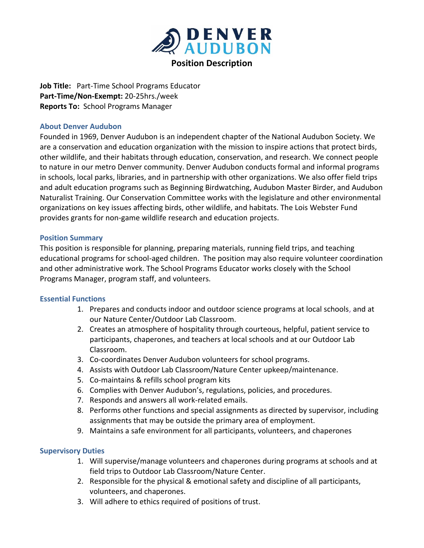

**Job Title:** Part-Time School Programs Educator **Part-Time/Non-Exempt:** 20-25hrs./week **Reports To:** School Programs Manager

### **About Denver Audubon**

Founded in 1969, Denver Audubon is an independent chapter of the National Audubon Society. We are a conservation and education organization with the mission to inspire actions that protect birds, other wildlife, and their habitats through education, conservation, and research. We connect people to nature in our metro Denver community. Denver Audubon conducts formal and informal programs in schools, local parks, libraries, and in partnership with other organizations. We also offer field trips and adult education programs such as Beginning Birdwatching, Audubon Master Birder, and Audubon Naturalist Training. Our Conservation Committee works with the legislature and other environmental organizations on key issues affecting birds, other wildlife, and habitats. The Lois Webster Fund provides grants for non-game wildlife research and education projects.

## **Position Summary**

This position is responsible for planning, preparing materials, running field trips, and teaching educational programs for school-aged children. The position may also require volunteer coordination and other administrative work. The School Programs Educator works closely with the School Programs Manager, program staff, and volunteers.

#### **Essential Functions**

- 1. Prepares and conducts indoor and outdoor science programs at local schools, and at our Nature Center/Outdoor Lab Classroom.
- 2. Creates an atmosphere of hospitality through courteous, helpful, patient service to participants, chaperones, and teachers at local schools and at our Outdoor Lab Classroom.
- 3. Co-coordinates Denver Audubon volunteers for school programs.
- 4. Assists with Outdoor Lab Classroom/Nature Center upkeep/maintenance.
- 5. Co-maintains & refills school program kits
- 6. Complies with Denver Audubon's, regulations, policies, and procedures.
- 7. Responds and answers all work-related emails.
- 8. Performs other functions and special assignments as directed by supervisor, including assignments that may be outside the primary area of employment.
- 9. Maintains a safe environment for all participants, volunteers, and chaperones

## **Supervisory Duties**

- 1. Will supervise/manage volunteers and chaperones during programs at schools and at field trips to Outdoor Lab Classroom/Nature Center.
- 2. Responsible for the physical & emotional safety and discipline of all participants, volunteers, and chaperones.
- 3. Will adhere to ethics required of positions of trust.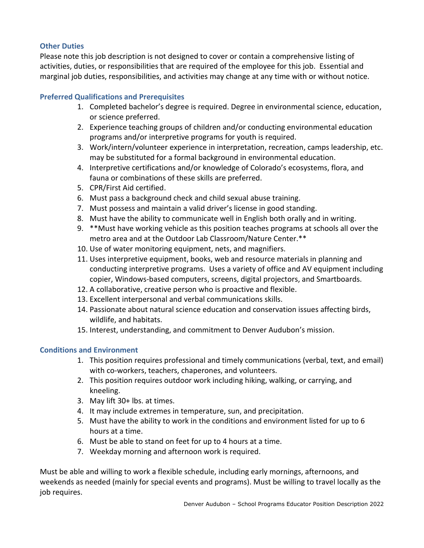# **Other Duties**

Please note this job description is not designed to cover or contain a comprehensive listing of activities, duties, or responsibilities that are required of the employee for this job. Essential and marginal job duties, responsibilities, and activities may change at any time with or without notice.

# **Preferred Qualifications and Prerequisites**

- 1. Completed bachelor's degree is required. Degree in environmental science, education, or science preferred.
- 2. Experience teaching groups of children and/or conducting environmental education programs and/or interpretive programs for youth is required.
- 3. Work/intern/volunteer experience in interpretation, recreation, camps leadership, etc. may be substituted for a formal background in environmental education.
- 4. Interpretive certifications and/or knowledge of Colorado's ecosystems, flora, and fauna or combinations of these skills are preferred.
- 5. CPR/First Aid certified.
- 6. Must pass a background check and child sexual abuse training.
- 7. Must possess and maintain a valid driver's license in good standing.
- 8. Must have the ability to communicate well in English both orally and in writing.
- 9. \*\*Must have working vehicle as this position teaches programs at schools all over the metro area and at the Outdoor Lab Classroom/Nature Center.\*\*
- 10. Use of water monitoring equipment, nets, and magnifiers.
- 11. Uses interpretive equipment, books, web and resource materials in planning and conducting interpretive programs. Uses a variety of office and AV equipment including copier, Windows-based computers, screens, digital projectors, and Smartboards.
- 12. A collaborative, creative person who is proactive and flexible.
- 13. Excellent interpersonal and verbal communications skills.
- 14. Passionate about natural science education and conservation issues affecting birds, wildlife, and habitats.
- 15. Interest, understanding, and commitment to Denver Audubon's mission.

# **Conditions and Environment**

- 1. This position requires professional and timely communications (verbal, text, and email) with co-workers, teachers, chaperones, and volunteers.
- 2. This position requires outdoor work including hiking, walking, or carrying, and kneeling.
- 3. May lift 30+ lbs. at times.
- 4. It may include extremes in temperature, sun, and precipitation.
- 5. Must have the ability to work in the conditions and environment listed for up to 6 hours at a time.
- 6. Must be able to stand on feet for up to 4 hours at a time.
- 7. Weekday morning and afternoon work is required.

Must be able and willing to work a flexible schedule, including early mornings, afternoons, and weekends as needed (mainly for special events and programs). Must be willing to travel locally as the job requires.